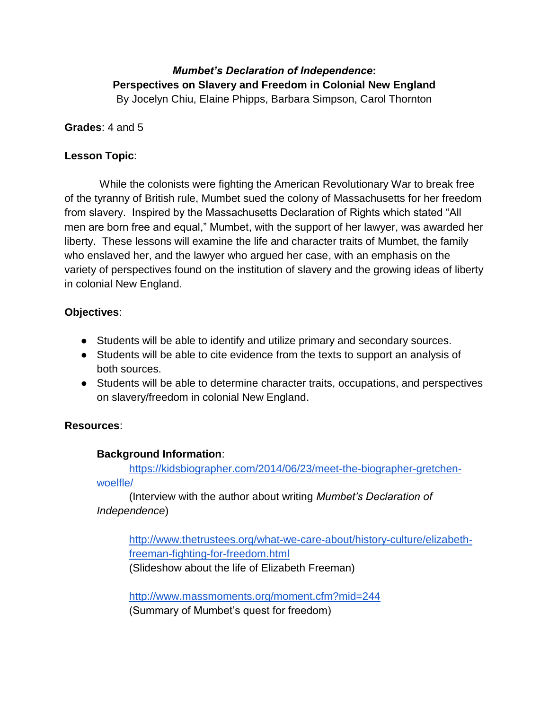## *Mumbet's Declaration of Independence***: Perspectives on Slavery and Freedom in Colonial New England** By Jocelyn Chiu, Elaine Phipps, Barbara Simpson, Carol Thornton

**Grades**: 4 and 5

## **Lesson Topic**:

While the colonists were fighting the American Revolutionary War to break free of the tyranny of British rule, Mumbet sued the colony of Massachusetts for her freedom from slavery. Inspired by the Massachusetts Declaration of Rights which stated "All men are born free and equal," Mumbet, with the support of her lawyer, was awarded her liberty. These lessons will examine the life and character traits of Mumbet, the family who enslaved her, and the lawyer who argued her case, with an emphasis on the variety of perspectives found on the institution of slavery and the growing ideas of liberty in colonial New England.

## **Objectives**:

- Students will be able to identify and utilize primary and secondary sources.
- Students will be able to cite evidence from the texts to support an analysis of both sources.
- Students will be able to determine character traits, occupations, and perspectives on slavery/freedom in colonial New England.

## **Resources**:

## **Background Information**:

[https://kidsbiographer.com/2014/06/23/meet-the-biographer-gretchen](https://kidsbiographer.com/2014/06/23/meet-the-biographer-gretchen-woelfle/)[woelfle/](https://kidsbiographer.com/2014/06/23/meet-the-biographer-gretchen-woelfle/)

(Interview with the author about writing *Mumbet's Declaration of Independence*)

[http://www.thetrustees.org/what-we-care-about/history-culture/elizabeth](http://www.thetrustees.org/what-we-care-about/history-culture/elizabeth-freeman-fighting-for-freedom.html)[freeman-fighting-for-freedom.html](http://www.thetrustees.org/what-we-care-about/history-culture/elizabeth-freeman-fighting-for-freedom.html)

(Slideshow about the life of Elizabeth Freeman)

<http://www.massmoments.org/moment.cfm?mid=244> (Summary of Mumbet's quest for freedom)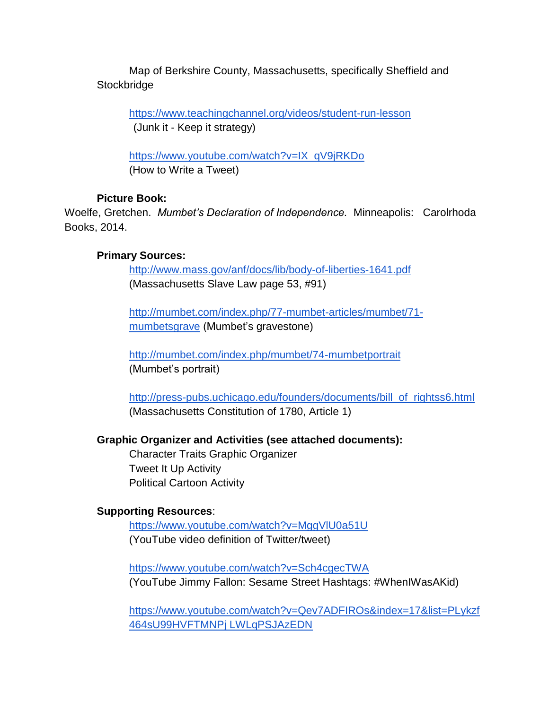Map of Berkshire County, Massachusetts, specifically Sheffield and **Stockbridge** 

<https://www.teachingchannel.org/videos/student-run-lesson> (Junk it - Keep it strategy)

[https://www.youtube.com/watch?v=IX\\_qV9jRKDo](https://www.youtube.com/watch?v=IX_qV9jRKDo) (How to Write a Tweet)

## **Picture Book:**

Woelfe, Gretchen. *Mumbet's Declaration of Independence.* Minneapolis: Carolrhoda Books, 2014.

## **Primary Sources:**

<http://www.mass.gov/anf/docs/lib/body-of-liberties-1641.pdf> (Massachusetts Slave Law page 53, #91)

[http://mumbet.com/index.php/77-mumbet-articles/mumbet/71](http://mumbet.com/index.php/77-mumbet-articles/mumbet/71-mumbetsgrave) [mumbetsgrave](http://mumbet.com/index.php/77-mumbet-articles/mumbet/71-mumbetsgrave) (Mumbet's gravestone)

<http://mumbet.com/index.php/mumbet/74-mumbetportrait> (Mumbet's portrait)

[http://press-pubs.uchicago.edu/founders/documents/bill\\_of\\_rightss6.html](http://press-pubs.uchicago.edu/founders/documents/bill_of_rightss6.html) (Massachusetts Constitution of 1780, Article 1)

## **Graphic Organizer and Activities (see attached documents):**

Character Traits Graphic Organizer Tweet It Up Activity Political Cartoon Activity

## **Supporting Resources**:

<https://www.youtube.com/watch?v=MggVlU0a51U> (YouTube video definition of Twitter/tweet)

<https://www.youtube.com/watch?v=Sch4cgecTWA> (YouTube Jimmy Fallon: Sesame Street Hashtags: #WhenIWasAKid)

[https://www.youtube.com/watch?v=Qev7ADFIROs&index=17&list=PLykzf](https://www.youtube.com/watch?v=Qev7ADFIROs&index=17&list=PLykzf464sU99HVFTMNPjNLWLqPSJAzEDN) [464sU99HVFTMNPj LWLqPSJAzEDN](https://www.youtube.com/watch?v=Qev7ADFIROs&index=17&list=PLykzf464sU99HVFTMNPjNLWLqPSJAzEDN)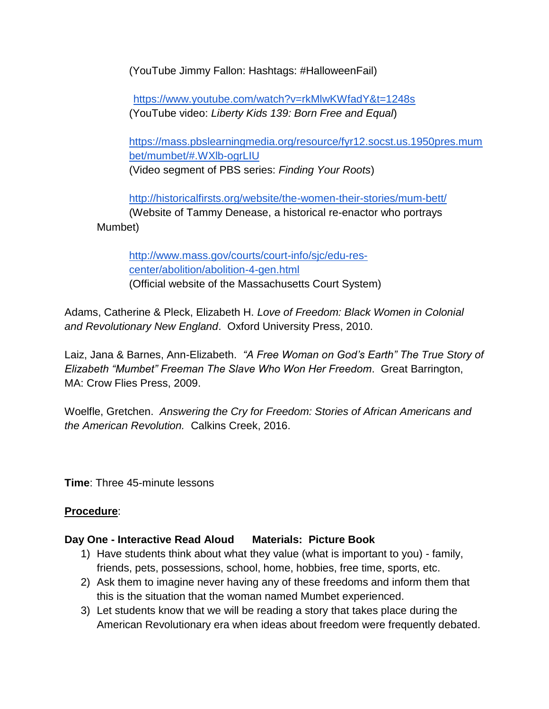(YouTube Jimmy Fallon: Hashtags: #HalloweenFail)

 <https://www.youtube.com/watch?v=rkMlwKWfadY&t=1248s> (YouTube video: *Liberty Kids 139: Born Free and Equal*)

[https://mass.pbslearningmedia.org/resource/fyr12.socst.us.1950pres.mum](https://mass.pbslearningmedia.org/resource/fyr12.socst.us.1950pres.mumbet/mumbet/#.WXlb-ogrLIU) [bet/mumbet/#.WXlb-ogrLIU](https://mass.pbslearningmedia.org/resource/fyr12.socst.us.1950pres.mumbet/mumbet/#.WXlb-ogrLIU) (Video segment of PBS series: *Finding Your Roots*)

<http://historicalfirsts.org/website/the-women-their-stories/mum-bett/> (Website of Tammy Denease, a historical re-enactor who portrays Mumbet)

[http://www.mass.gov/courts/court-info/sjc/edu-res](http://www.mass.gov/courts/court-info/sjc/edu-res-center/abolition/abolition-4-gen.html)[center/abolition/abolition-4-gen.html](http://www.mass.gov/courts/court-info/sjc/edu-res-center/abolition/abolition-4-gen.html) (Official website of the Massachusetts Court System)

Adams, Catherine & Pleck, Elizabeth H. *Love of Freedom: Black Women in Colonial and Revolutionary New England*. Oxford University Press, 2010.

Laiz, Jana & Barnes, Ann-Elizabeth. *"A Free Woman on God's Earth" The True Story of Elizabeth "Mumbet" Freeman The Slave Who Won Her Freedom*. Great Barrington, MA: Crow Flies Press, 2009.

Woelfle, Gretchen. *Answering the Cry for Freedom: Stories of African Americans and the American Revolution.* Calkins Creek, 2016.

**Time**: Three 45-minute lessons

## **Procedure**:

## **Day One - Interactive Read Aloud Materials: Picture Book**

- 1) Have students think about what they value (what is important to you) family, friends, pets, possessions, school, home, hobbies, free time, sports, etc.
- 2) Ask them to imagine never having any of these freedoms and inform them that this is the situation that the woman named Mumbet experienced.
- 3) Let students know that we will be reading a story that takes place during the American Revolutionary era when ideas about freedom were frequently debated.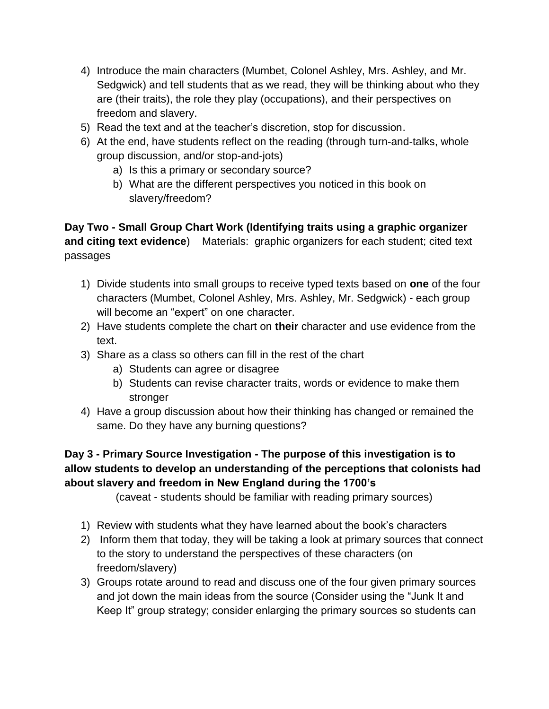- 4) Introduce the main characters (Mumbet, Colonel Ashley, Mrs. Ashley, and Mr. Sedgwick) and tell students that as we read, they will be thinking about who they are (their traits), the role they play (occupations), and their perspectives on freedom and slavery.
- 5) Read the text and at the teacher's discretion, stop for discussion.
- 6) At the end, have students reflect on the reading (through turn-and-talks, whole group discussion, and/or stop-and-jots)
	- a) Is this a primary or secondary source?
	- b) What are the different perspectives you noticed in this book on slavery/freedom?

**Day Two - Small Group Chart Work (Identifying traits using a graphic organizer and citing text evidence**) Materials: graphic organizers for each student; cited text passages

- 1) Divide students into small groups to receive typed texts based on **one** of the four characters (Mumbet, Colonel Ashley, Mrs. Ashley, Mr. Sedgwick) - each group will become an "expert" on one character.
- 2) Have students complete the chart on **their** character and use evidence from the text.
- 3) Share as a class so others can fill in the rest of the chart
	- a) Students can agree or disagree
	- b) Students can revise character traits, words or evidence to make them stronger
- 4) Have a group discussion about how their thinking has changed or remained the same. Do they have any burning questions?

# **Day 3 - Primary Source Investigation - The purpose of this investigation is to allow students to develop an understanding of the perceptions that colonists had about slavery and freedom in New England during the 1700's**

(caveat - students should be familiar with reading primary sources)

- 1) Review with students what they have learned about the book's characters
- 2) Inform them that today, they will be taking a look at primary sources that connect to the story to understand the perspectives of these characters (on freedom/slavery)
- 3) Groups rotate around to read and discuss one of the four given primary sources and jot down the main ideas from the source (Consider using the "Junk It and Keep It" group strategy; consider enlarging the primary sources so students can